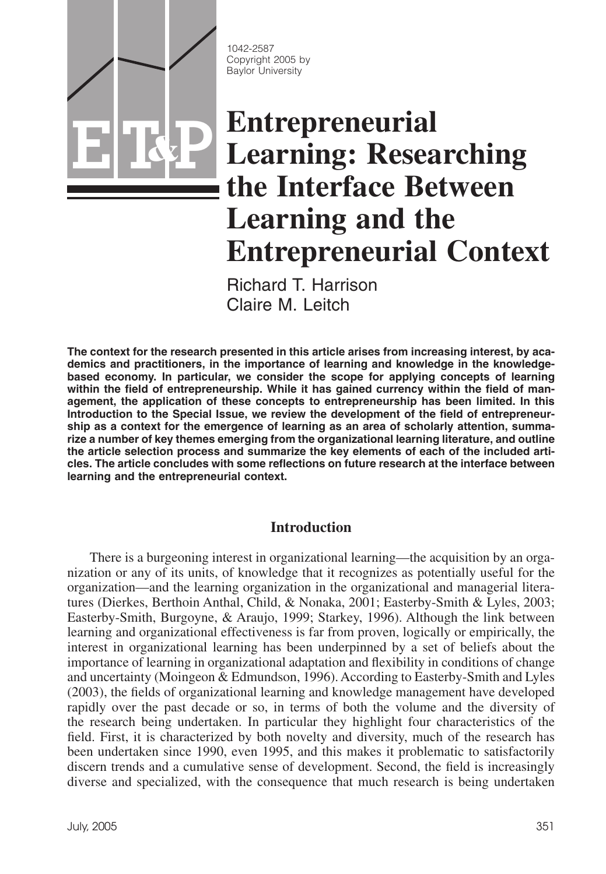1042-2587 Copyright 2005 by Baylor University

# **Entrepreneurial Learning: Researching the Interface Between Learning and the Entrepreneurial Context**

Richard T. Harrison Claire M. Leitch

**The context for the research presented in this article arises from increasing interest, by academics and practitioners, in the importance of learning and knowledge in the knowledgebased economy. In particular, we consider the scope for applying concepts of learning within the field of entrepreneurship. While it has gained currency within the field of management, the application of these concepts to entrepreneurship has been limited. In this Introduction to the Special Issue, we review the development of the field of entrepreneurship as a context for the emergence of learning as an area of scholarly attention, summarize a number of key themes emerging from the organizational learning literature, and outline the article selection process and summarize the key elements of each of the included articles. The article concludes with some reflections on future research at the interface between learning and the entrepreneurial context.**

# **Introduction**

There is a burgeoning interest in organizational learning—the acquisition by an organization or any of its units, of knowledge that it recognizes as potentially useful for the organization—and the learning organization in the organizational and managerial literatures (Dierkes, Berthoin Anthal, Child, & Nonaka, 2001; Easterby-Smith & Lyles, 2003; Easterby-Smith, Burgoyne, & Araujo, 1999; Starkey, 1996). Although the link between learning and organizational effectiveness is far from proven, logically or empirically, the interest in organizational learning has been underpinned by a set of beliefs about the importance of learning in organizational adaptation and flexibility in conditions of change and uncertainty (Moingeon & Edmundson, 1996). According to Easterby-Smith and Lyles (2003), the fields of organizational learning and knowledge management have developed rapidly over the past decade or so, in terms of both the volume and the diversity of the research being undertaken. In particular they highlight four characteristics of the field. First, it is characterized by both novelty and diversity, much of the research has been undertaken since 1990, even 1995, and this makes it problematic to satisfactorily discern trends and a cumulative sense of development. Second, the field is increasingly diverse and specialized, with the consequence that much research is being undertaken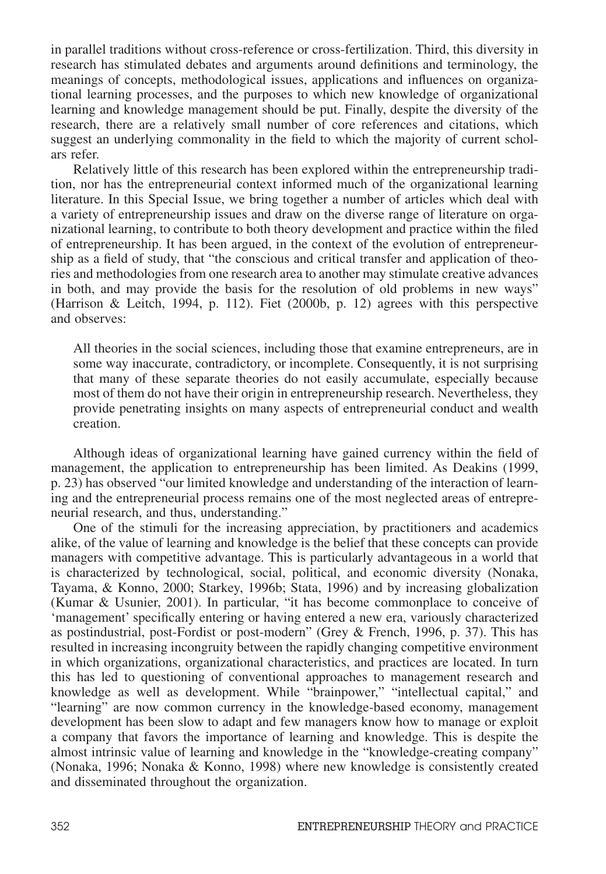in parallel traditions without cross-reference or cross-fertilization. Third, this diversity in research has stimulated debates and arguments around definitions and terminology, the meanings of concepts, methodological issues, applications and influences on organizational learning processes, and the purposes to which new knowledge of organizational learning and knowledge management should be put. Finally, despite the diversity of the research, there are a relatively small number of core references and citations, which suggest an underlying commonality in the field to which the majority of current scholars refer.

Relatively little of this research has been explored within the entrepreneurship tradition, nor has the entrepreneurial context informed much of the organizational learning literature. In this Special Issue, we bring together a number of articles which deal with a variety of entrepreneurship issues and draw on the diverse range of literature on organizational learning, to contribute to both theory development and practice within the filed of entrepreneurship. It has been argued, in the context of the evolution of entrepreneurship as a field of study, that "the conscious and critical transfer and application of theories and methodologies from one research area to another may stimulate creative advances in both, and may provide the basis for the resolution of old problems in new ways" (Harrison & Leitch, 1994, p. 112). Fiet (2000b, p. 12) agrees with this perspective and observes:

All theories in the social sciences, including those that examine entrepreneurs, are in some way inaccurate, contradictory, or incomplete. Consequently, it is not surprising that many of these separate theories do not easily accumulate, especially because most of them do not have their origin in entrepreneurship research. Nevertheless, they provide penetrating insights on many aspects of entrepreneurial conduct and wealth creation.

Although ideas of organizational learning have gained currency within the field of management, the application to entrepreneurship has been limited. As Deakins (1999, p. 23) has observed "our limited knowledge and understanding of the interaction of learning and the entrepreneurial process remains one of the most neglected areas of entrepreneurial research, and thus, understanding."

One of the stimuli for the increasing appreciation, by practitioners and academics alike, of the value of learning and knowledge is the belief that these concepts can provide managers with competitive advantage. This is particularly advantageous in a world that is characterized by technological, social, political, and economic diversity (Nonaka, Tayama, & Konno, 2000; Starkey, 1996b; Stata, 1996) and by increasing globalization (Kumar & Usunier, 2001). In particular, "it has become commonplace to conceive of 'management' specifically entering or having entered a new era, variously characterized as postindustrial, post-Fordist or post-modern" (Grey & French, 1996, p. 37). This has resulted in increasing incongruity between the rapidly changing competitive environment in which organizations, organizational characteristics, and practices are located. In turn this has led to questioning of conventional approaches to management research and knowledge as well as development. While "brainpower," "intellectual capital," and "learning" are now common currency in the knowledge-based economy, management development has been slow to adapt and few managers know how to manage or exploit a company that favors the importance of learning and knowledge. This is despite the almost intrinsic value of learning and knowledge in the "knowledge-creating company" (Nonaka, 1996; Nonaka & Konno, 1998) where new knowledge is consistently created and disseminated throughout the organization.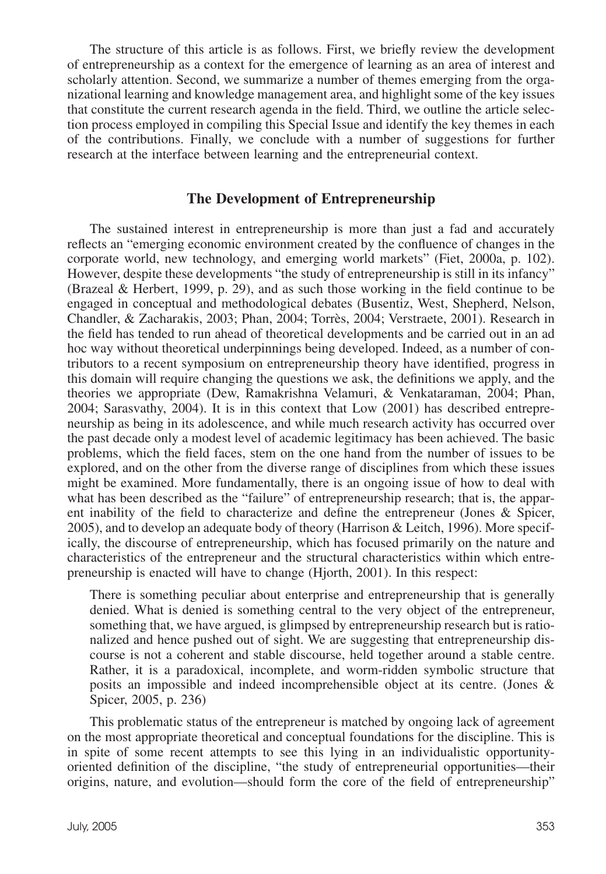The structure of this article is as follows. First, we briefly review the development of entrepreneurship as a context for the emergence of learning as an area of interest and scholarly attention. Second, we summarize a number of themes emerging from the organizational learning and knowledge management area, and highlight some of the key issues that constitute the current research agenda in the field. Third, we outline the article selection process employed in compiling this Special Issue and identify the key themes in each of the contributions. Finally, we conclude with a number of suggestions for further research at the interface between learning and the entrepreneurial context.

#### **The Development of Entrepreneurship**

The sustained interest in entrepreneurship is more than just a fad and accurately reflects an "emerging economic environment created by the confluence of changes in the corporate world, new technology, and emerging world markets" (Fiet, 2000a, p. 102). However, despite these developments "the study of entrepreneurship is still in its infancy" (Brazeal & Herbert, 1999, p. 29), and as such those working in the field continue to be engaged in conceptual and methodological debates (Busentiz, West, Shepherd, Nelson, Chandler, & Zacharakis, 2003; Phan, 2004; Torrès, 2004; Verstraete, 2001). Research in the field has tended to run ahead of theoretical developments and be carried out in an ad hoc way without theoretical underpinnings being developed. Indeed, as a number of contributors to a recent symposium on entrepreneurship theory have identified, progress in this domain will require changing the questions we ask, the definitions we apply, and the theories we appropriate (Dew, Ramakrishna Velamuri, & Venkataraman, 2004; Phan, 2004; Sarasvathy, 2004). It is in this context that Low (2001) has described entrepreneurship as being in its adolescence, and while much research activity has occurred over the past decade only a modest level of academic legitimacy has been achieved. The basic problems, which the field faces, stem on the one hand from the number of issues to be explored, and on the other from the diverse range of disciplines from which these issues might be examined. More fundamentally, there is an ongoing issue of how to deal with what has been described as the "failure" of entrepreneurship research; that is, the apparent inability of the field to characterize and define the entrepreneur (Jones & Spicer, 2005), and to develop an adequate body of theory (Harrison & Leitch, 1996). More specifically, the discourse of entrepreneurship, which has focused primarily on the nature and characteristics of the entrepreneur and the structural characteristics within which entrepreneurship is enacted will have to change (Hjorth, 2001). In this respect:

There is something peculiar about enterprise and entrepreneurship that is generally denied. What is denied is something central to the very object of the entrepreneur, something that, we have argued, is glimpsed by entrepreneurship research but is rationalized and hence pushed out of sight. We are suggesting that entrepreneurship discourse is not a coherent and stable discourse, held together around a stable centre. Rather, it is a paradoxical, incomplete, and worm-ridden symbolic structure that posits an impossible and indeed incomprehensible object at its centre. (Jones & Spicer, 2005, p. 236)

This problematic status of the entrepreneur is matched by ongoing lack of agreement on the most appropriate theoretical and conceptual foundations for the discipline. This is in spite of some recent attempts to see this lying in an individualistic opportunityoriented definition of the discipline, "the study of entrepreneurial opportunities—their origins, nature, and evolution—should form the core of the field of entrepreneurship"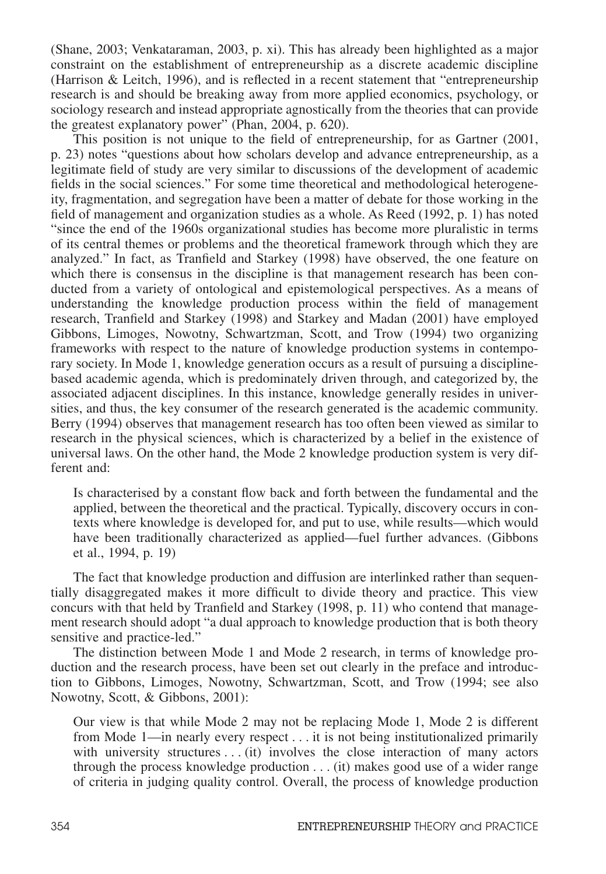(Shane, 2003; Venkataraman, 2003, p. xi). This has already been highlighted as a major constraint on the establishment of entrepreneurship as a discrete academic discipline (Harrison & Leitch, 1996), and is reflected in a recent statement that "entrepreneurship research is and should be breaking away from more applied economics, psychology, or sociology research and instead appropriate agnostically from the theories that can provide the greatest explanatory power" (Phan, 2004, p. 620).

This position is not unique to the field of entrepreneurship, for as Gartner (2001, p. 23) notes "questions about how scholars develop and advance entrepreneurship, as a legitimate field of study are very similar to discussions of the development of academic fields in the social sciences." For some time theoretical and methodological heterogeneity, fragmentation, and segregation have been a matter of debate for those working in the field of management and organization studies as a whole. As Reed (1992, p. 1) has noted "since the end of the 1960s organizational studies has become more pluralistic in terms of its central themes or problems and the theoretical framework through which they are analyzed." In fact, as Tranfield and Starkey (1998) have observed, the one feature on which there is consensus in the discipline is that management research has been conducted from a variety of ontological and epistemological perspectives. As a means of understanding the knowledge production process within the field of management research, Tranfield and Starkey (1998) and Starkey and Madan (2001) have employed Gibbons, Limoges, Nowotny, Schwartzman, Scott, and Trow (1994) two organizing frameworks with respect to the nature of knowledge production systems in contemporary society. In Mode 1, knowledge generation occurs as a result of pursuing a disciplinebased academic agenda, which is predominately driven through, and categorized by, the associated adjacent disciplines. In this instance, knowledge generally resides in universities, and thus, the key consumer of the research generated is the academic community. Berry (1994) observes that management research has too often been viewed as similar to research in the physical sciences, which is characterized by a belief in the existence of universal laws. On the other hand, the Mode 2 knowledge production system is very different and:

Is characterised by a constant flow back and forth between the fundamental and the applied, between the theoretical and the practical. Typically, discovery occurs in contexts where knowledge is developed for, and put to use, while results—which would have been traditionally characterized as applied—fuel further advances. (Gibbons et al., 1994, p. 19)

The fact that knowledge production and diffusion are interlinked rather than sequentially disaggregated makes it more difficult to divide theory and practice. This view concurs with that held by Tranfield and Starkey (1998, p. 11) who contend that management research should adopt "a dual approach to knowledge production that is both theory sensitive and practice-led."

The distinction between Mode 1 and Mode 2 research, in terms of knowledge production and the research process, have been set out clearly in the preface and introduction to Gibbons, Limoges, Nowotny, Schwartzman, Scott, and Trow (1994; see also Nowotny, Scott, & Gibbons, 2001):

Our view is that while Mode 2 may not be replacing Mode 1, Mode 2 is different from Mode 1—in nearly every respect . . . it is not being institutionalized primarily with university structures... (it) involves the close interaction of many actors through the process knowledge production... (it) makes good use of a wider range of criteria in judging quality control. Overall, the process of knowledge production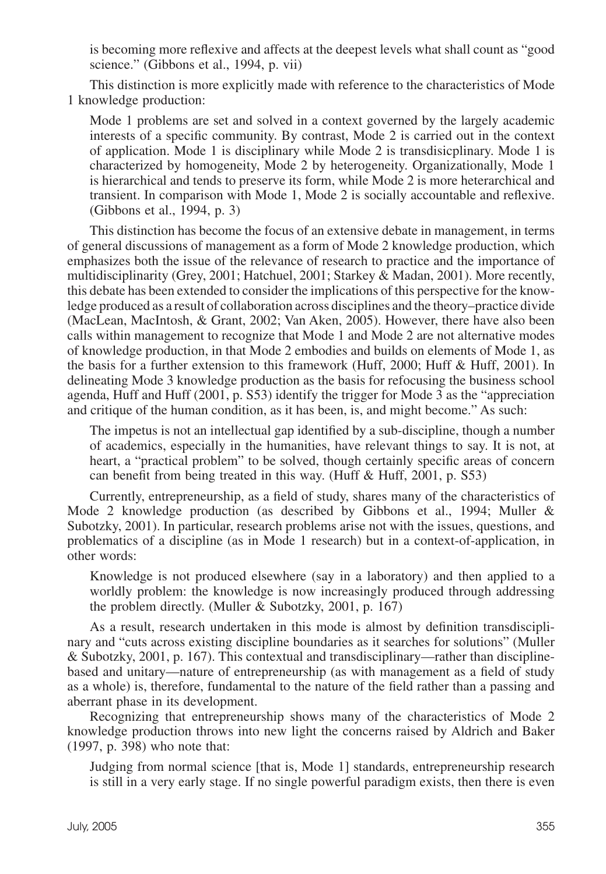is becoming more reflexive and affects at the deepest levels what shall count as "good science." (Gibbons et al., 1994, p. vii)

This distinction is more explicitly made with reference to the characteristics of Mode 1 knowledge production:

Mode 1 problems are set and solved in a context governed by the largely academic interests of a specific community. By contrast, Mode 2 is carried out in the context of application. Mode 1 is disciplinary while Mode 2 is transdisicplinary. Mode 1 is characterized by homogeneity, Mode 2 by heterogeneity. Organizationally, Mode 1 is hierarchical and tends to preserve its form, while Mode 2 is more heterarchical and transient. In comparison with Mode 1, Mode 2 is socially accountable and reflexive. (Gibbons et al., 1994, p. 3)

This distinction has become the focus of an extensive debate in management, in terms of general discussions of management as a form of Mode 2 knowledge production, which emphasizes both the issue of the relevance of research to practice and the importance of multidisciplinarity (Grey, 2001; Hatchuel, 2001; Starkey & Madan, 2001). More recently, this debate has been extended to consider the implications of this perspective for the knowledge produced as a result of collaboration across disciplines and the theory–practice divide (MacLean, MacIntosh, & Grant, 2002; Van Aken, 2005). However, there have also been calls within management to recognize that Mode 1 and Mode 2 are not alternative modes of knowledge production, in that Mode 2 embodies and builds on elements of Mode 1, as the basis for a further extension to this framework (Huff, 2000; Huff & Huff, 2001). In delineating Mode 3 knowledge production as the basis for refocusing the business school agenda, Huff and Huff (2001, p. S53) identify the trigger for Mode 3 as the "appreciation and critique of the human condition, as it has been, is, and might become." As such:

The impetus is not an intellectual gap identified by a sub-discipline, though a number of academics, especially in the humanities, have relevant things to say. It is not, at heart, a "practical problem" to be solved, though certainly specific areas of concern can benefit from being treated in this way. (Huff & Huff, 2001, p. S53)

Currently, entrepreneurship, as a field of study, shares many of the characteristics of Mode 2 knowledge production (as described by Gibbons et al., 1994; Muller & Subotzky, 2001). In particular, research problems arise not with the issues, questions, and problematics of a discipline (as in Mode 1 research) but in a context-of-application, in other words:

Knowledge is not produced elsewhere (say in a laboratory) and then applied to a worldly problem: the knowledge is now increasingly produced through addressing the problem directly. (Muller & Subotzky, 2001, p. 167)

As a result, research undertaken in this mode is almost by definition transdisciplinary and "cuts across existing discipline boundaries as it searches for solutions" (Muller & Subotzky, 2001, p. 167). This contextual and transdisciplinary—rather than disciplinebased and unitary—nature of entrepreneurship (as with management as a field of study as a whole) is, therefore, fundamental to the nature of the field rather than a passing and aberrant phase in its development.

Recognizing that entrepreneurship shows many of the characteristics of Mode 2 knowledge production throws into new light the concerns raised by Aldrich and Baker (1997, p. 398) who note that:

Judging from normal science [that is, Mode 1] standards, entrepreneurship research is still in a very early stage. If no single powerful paradigm exists, then there is even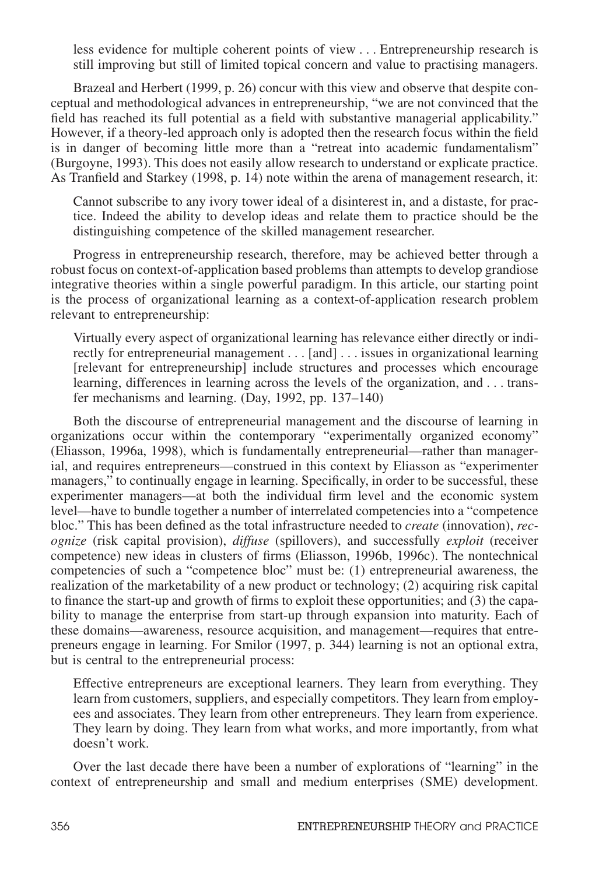less evidence for multiple coherent points of view . . . Entrepreneurship research is still improving but still of limited topical concern and value to practising managers.

Brazeal and Herbert (1999, p. 26) concur with this view and observe that despite conceptual and methodological advances in entrepreneurship, "we are not convinced that the field has reached its full potential as a field with substantive managerial applicability." However, if a theory-led approach only is adopted then the research focus within the field is in danger of becoming little more than a "retreat into academic fundamentalism" (Burgoyne, 1993). This does not easily allow research to understand or explicate practice. As Tranfield and Starkey (1998, p. 14) note within the arena of management research, it:

Cannot subscribe to any ivory tower ideal of a disinterest in, and a distaste, for practice. Indeed the ability to develop ideas and relate them to practice should be the distinguishing competence of the skilled management researcher.

Progress in entrepreneurship research, therefore, may be achieved better through a robust focus on context-of-application based problems than attempts to develop grandiose integrative theories within a single powerful paradigm. In this article, our starting point is the process of organizational learning as a context-of-application research problem relevant to entrepreneurship:

Virtually every aspect of organizational learning has relevance either directly or indirectly for entrepreneurial management...[and] . . . issues in organizational learning [relevant for entrepreneurship] include structures and processes which encourage learning, differences in learning across the levels of the organization, and . . . transfer mechanisms and learning. (Day, 1992, pp. 137–140)

Both the discourse of entrepreneurial management and the discourse of learning in organizations occur within the contemporary "experimentally organized economy" (Eliasson, 1996a, 1998), which is fundamentally entrepreneurial—rather than managerial, and requires entrepreneurs—construed in this context by Eliasson as "experimenter managers," to continually engage in learning. Specifically, in order to be successful, these experimenter managers—at both the individual firm level and the economic system level—have to bundle together a number of interrelated competencies into a "competence bloc." This has been defined as the total infrastructure needed to *create* (innovation), *recognize* (risk capital provision), *diffuse* (spillovers), and successfully *exploit* (receiver competence) new ideas in clusters of firms (Eliasson, 1996b, 1996c). The nontechnical competencies of such a "competence bloc" must be: (1) entrepreneurial awareness, the realization of the marketability of a new product or technology; (2) acquiring risk capital to finance the start-up and growth of firms to exploit these opportunities; and (3) the capability to manage the enterprise from start-up through expansion into maturity. Each of these domains—awareness, resource acquisition, and management—requires that entrepreneurs engage in learning. For Smilor (1997, p. 344) learning is not an optional extra, but is central to the entrepreneurial process:

Effective entrepreneurs are exceptional learners. They learn from everything. They learn from customers, suppliers, and especially competitors. They learn from employees and associates. They learn from other entrepreneurs. They learn from experience. They learn by doing. They learn from what works, and more importantly, from what doesn't work.

Over the last decade there have been a number of explorations of "learning" in the context of entrepreneurship and small and medium enterprises (SME) development.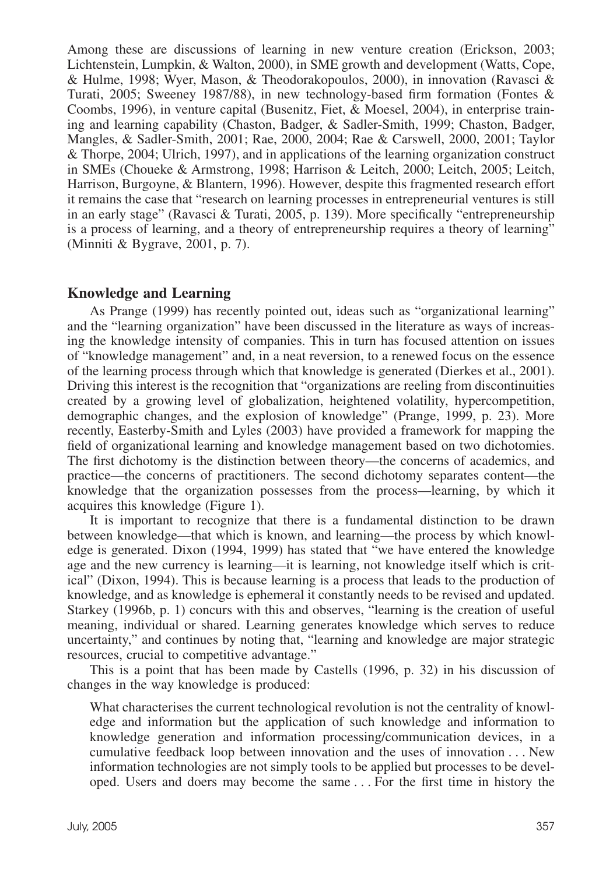Among these are discussions of learning in new venture creation (Erickson, 2003; Lichtenstein, Lumpkin, & Walton, 2000), in SME growth and development (Watts, Cope, & Hulme, 1998; Wyer, Mason, & Theodorakopoulos, 2000), in innovation (Ravasci & Turati, 2005; Sweeney 1987/88), in new technology-based firm formation (Fontes & Coombs, 1996), in venture capital (Busenitz, Fiet, & Moesel, 2004), in enterprise training and learning capability (Chaston, Badger, & Sadler-Smith, 1999; Chaston, Badger, Mangles, & Sadler-Smith, 2001; Rae, 2000, 2004; Rae & Carswell, 2000, 2001; Taylor & Thorpe, 2004; Ulrich, 1997), and in applications of the learning organization construct in SMEs (Choueke & Armstrong, 1998; Harrison & Leitch, 2000; Leitch, 2005; Leitch, Harrison, Burgoyne, & Blantern, 1996). However, despite this fragmented research effort it remains the case that "research on learning processes in entrepreneurial ventures is still in an early stage" (Ravasci & Turati, 2005, p. 139). More specifically "entrepreneurship is a process of learning, and a theory of entrepreneurship requires a theory of learning" (Minniti & Bygrave, 2001, p. 7).

#### **Knowledge and Learning**

As Prange (1999) has recently pointed out, ideas such as "organizational learning" and the "learning organization" have been discussed in the literature as ways of increasing the knowledge intensity of companies. This in turn has focused attention on issues of "knowledge management" and, in a neat reversion, to a renewed focus on the essence of the learning process through which that knowledge is generated (Dierkes et al., 2001). Driving this interest is the recognition that "organizations are reeling from discontinuities created by a growing level of globalization, heightened volatility, hypercompetition, demographic changes, and the explosion of knowledge" (Prange, 1999, p. 23). More recently, Easterby-Smith and Lyles (2003) have provided a framework for mapping the field of organizational learning and knowledge management based on two dichotomies. The first dichotomy is the distinction between theory—the concerns of academics, and practice—the concerns of practitioners. The second dichotomy separates content—the knowledge that the organization possesses from the process—learning, by which it acquires this knowledge (Figure 1).

It is important to recognize that there is a fundamental distinction to be drawn between knowledge—that which is known, and learning—the process by which knowledge is generated. Dixon (1994, 1999) has stated that "we have entered the knowledge age and the new currency is learning—it is learning, not knowledge itself which is critical" (Dixon, 1994). This is because learning is a process that leads to the production of knowledge, and as knowledge is ephemeral it constantly needs to be revised and updated. Starkey (1996b, p. 1) concurs with this and observes, "learning is the creation of useful meaning, individual or shared. Learning generates knowledge which serves to reduce uncertainty," and continues by noting that, "learning and knowledge are major strategic resources, crucial to competitive advantage."

This is a point that has been made by Castells (1996, p. 32) in his discussion of changes in the way knowledge is produced:

What characterises the current technological revolution is not the centrality of knowledge and information but the application of such knowledge and information to knowledge generation and information processing/communication devices, in a cumulative feedback loop between innovation and the uses of innovation . . . New information technologies are not simply tools to be applied but processes to be developed. Users and doers may become the same... For the first time in history the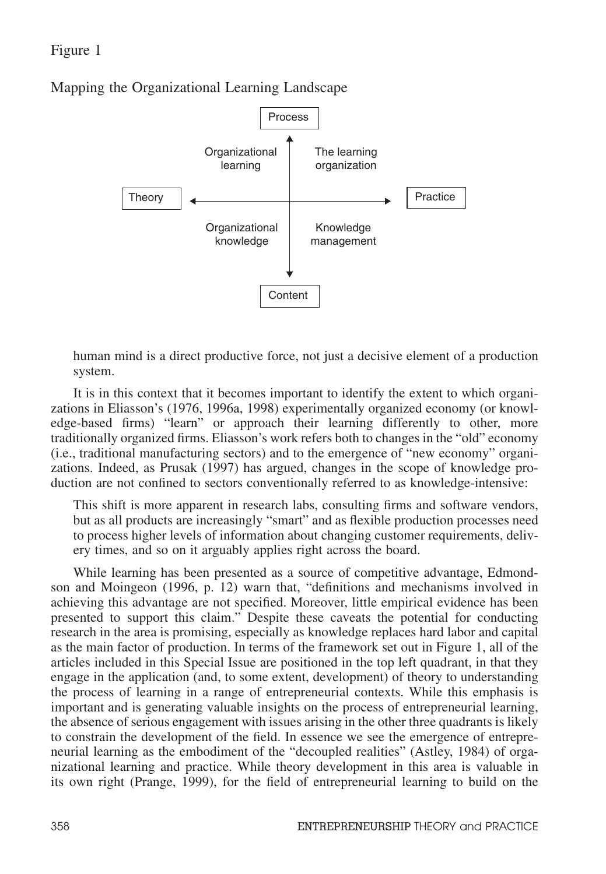

Mapping the Organizational Learning Landscape

human mind is a direct productive force, not just a decisive element of a production system.

It is in this context that it becomes important to identify the extent to which organizations in Eliasson's (1976, 1996a, 1998) experimentally organized economy (or knowledge-based firms) "learn" or approach their learning differently to other, more traditionally organized firms. Eliasson's work refers both to changes in the "old" economy (i.e., traditional manufacturing sectors) and to the emergence of "new economy" organizations. Indeed, as Prusak (1997) has argued, changes in the scope of knowledge production are not confined to sectors conventionally referred to as knowledge-intensive:

This shift is more apparent in research labs, consulting firms and software vendors, but as all products are increasingly "smart" and as flexible production processes need to process higher levels of information about changing customer requirements, delivery times, and so on it arguably applies right across the board.

While learning has been presented as a source of competitive advantage, Edmondson and Moingeon (1996, p. 12) warn that, "definitions and mechanisms involved in achieving this advantage are not specified. Moreover, little empirical evidence has been presented to support this claim." Despite these caveats the potential for conducting research in the area is promising, especially as knowledge replaces hard labor and capital as the main factor of production. In terms of the framework set out in Figure 1, all of the articles included in this Special Issue are positioned in the top left quadrant, in that they engage in the application (and, to some extent, development) of theory to understanding the process of learning in a range of entrepreneurial contexts. While this emphasis is important and is generating valuable insights on the process of entrepreneurial learning, the absence of serious engagement with issues arising in the other three quadrants is likely to constrain the development of the field. In essence we see the emergence of entrepreneurial learning as the embodiment of the "decoupled realities" (Astley, 1984) of organizational learning and practice. While theory development in this area is valuable in its own right (Prange, 1999), for the field of entrepreneurial learning to build on the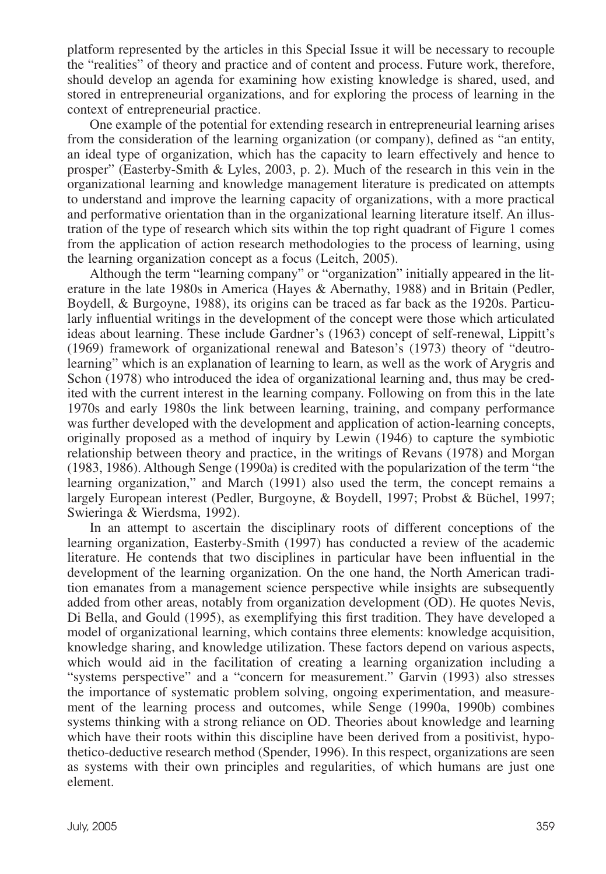platform represented by the articles in this Special Issue it will be necessary to recouple the "realities" of theory and practice and of content and process. Future work, therefore, should develop an agenda for examining how existing knowledge is shared, used, and stored in entrepreneurial organizations, and for exploring the process of learning in the context of entrepreneurial practice.

One example of the potential for extending research in entrepreneurial learning arises from the consideration of the learning organization (or company), defined as "an entity, an ideal type of organization, which has the capacity to learn effectively and hence to prosper" (Easterby-Smith & Lyles, 2003, p. 2). Much of the research in this vein in the organizational learning and knowledge management literature is predicated on attempts to understand and improve the learning capacity of organizations, with a more practical and performative orientation than in the organizational learning literature itself. An illustration of the type of research which sits within the top right quadrant of Figure 1 comes from the application of action research methodologies to the process of learning, using the learning organization concept as a focus (Leitch, 2005).

Although the term "learning company" or "organization" initially appeared in the literature in the late 1980s in America (Hayes & Abernathy, 1988) and in Britain (Pedler, Boydell, & Burgoyne, 1988), its origins can be traced as far back as the 1920s. Particularly influential writings in the development of the concept were those which articulated ideas about learning. These include Gardner's (1963) concept of self-renewal, Lippitt's (1969) framework of organizational renewal and Bateson's (1973) theory of "deutrolearning" which is an explanation of learning to learn, as well as the work of Arygris and Schon (1978) who introduced the idea of organizational learning and, thus may be credited with the current interest in the learning company. Following on from this in the late 1970s and early 1980s the link between learning, training, and company performance was further developed with the development and application of action-learning concepts, originally proposed as a method of inquiry by Lewin (1946) to capture the symbiotic relationship between theory and practice, in the writings of Revans (1978) and Morgan (1983, 1986). Although Senge (1990a) is credited with the popularization of the term "the learning organization," and March (1991) also used the term, the concept remains a largely European interest (Pedler, Burgoyne, & Boydell, 1997; Probst & Büchel, 1997; Swieringa & Wierdsma, 1992).

In an attempt to ascertain the disciplinary roots of different conceptions of the learning organization, Easterby-Smith (1997) has conducted a review of the academic literature. He contends that two disciplines in particular have been influential in the development of the learning organization. On the one hand, the North American tradition emanates from a management science perspective while insights are subsequently added from other areas, notably from organization development (OD). He quotes Nevis, Di Bella, and Gould (1995), as exemplifying this first tradition. They have developed a model of organizational learning, which contains three elements: knowledge acquisition, knowledge sharing, and knowledge utilization. These factors depend on various aspects, which would aid in the facilitation of creating a learning organization including a "systems perspective" and a "concern for measurement." Garvin (1993) also stresses the importance of systematic problem solving, ongoing experimentation, and measurement of the learning process and outcomes, while Senge (1990a, 1990b) combines systems thinking with a strong reliance on OD. Theories about knowledge and learning which have their roots within this discipline have been derived from a positivist, hypothetico-deductive research method (Spender, 1996). In this respect, organizations are seen as systems with their own principles and regularities, of which humans are just one element.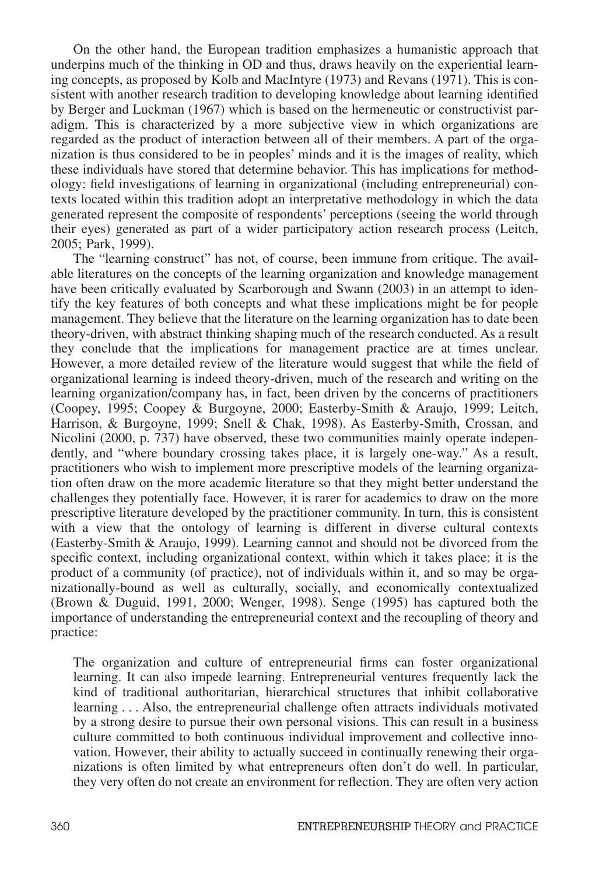On the other hand, the European tradition emphasizes a humanistic approach that underpins much of the thinking in OD and thus, draws heavily on the experiential learning concepts, as proposed by Kolb and MacIntyre (1973) and Revans (1971). This is consistent with another research tradition to developing knowledge about learning identified by Berger and Luckman (1967) which is based on the hermeneutic or constructivist paradigm. This is characterized by a more subjective view in which organizations are regarded as the product of interaction between all of their members. A part of the organization is thus considered to be in peoples' minds and it is the images of reality, which these individuals have stored that determine behavior. This has implications for methodology: field investigations of learning in organizational (including entrepreneurial) contexts located within this tradition adopt an interpretative methodology in which the data generated represent the composite of respondents' perceptions (seeing the world through their eyes) generated as part of a wider participatory action research process (Leitch, 2005; Park, 1999).

The "learning construct" has not, of course, been immune from critique. The available literatures on the concepts of the learning organization and knowledge management have been critically evaluated by Scarborough and Swann (2003) in an attempt to identify the key features of both concepts and what these implications might be for people management. They believe that the literature on the learning organization has to date been theory-driven, with abstract thinking shaping much of the research conducted. As a result they conclude that the implications for management practice are at times unclear. However, a more detailed review of the literature would suggest that while the field of organizational learning is indeed theory-driven, much of the research and writing on the learning organization/company has, in fact, been driven by the concerns of practitioners (Coopey, 1995; Coopey & Burgoyne, 2000; Easterby-Smith & Araujo, 1999; Leitch, Harrison, & Burgoyne, 1999; Snell & Chak, 1998). As Easterby-Smith, Crossan, and Nicolini (2000, p. 737) have observed, these two communities mainly operate independently, and "where boundary crossing takes place, it is largely one-way." As a result, practitioners who wish to implement more prescriptive models of the learning organization often draw on the more academic literature so that they might better understand the challenges they potentially face. However, it is rarer for academics to draw on the more prescriptive literature developed by the practitioner community. In turn, this is consistent with a view that the ontology of learning is different in diverse cultural contexts (Easterby-Smith & Araujo, 1999). Learning cannot and should not be divorced from the specific context, including organizational context, within which it takes place: it is the product of a community (of practice), not of individuals within it, and so may be organizationally-bound as well as culturally, socially, and economically contextualized (Brown & Duguid, 1991, 2000; Wenger, 1998). Senge (1995) has captured both the importance of understanding the entrepreneurial context and the recoupling of theory and practice:

The organization and culture of entrepreneurial firms can foster organizational learning. It can also impede learning. Entrepreneurial ventures frequently lack the kind of traditional authoritarian, hierarchical structures that inhibit collaborative learning... Also, the entrepreneurial challenge often attracts individuals motivated by a strong desire to pursue their own personal visions. This can result in a business culture committed to both continuous individual improvement and collective innovation. However, their ability to actually succeed in continually renewing their organizations is often limited by what entrepreneurs often don't do well. In particular, they very often do not create an environment for reflection. They are often very action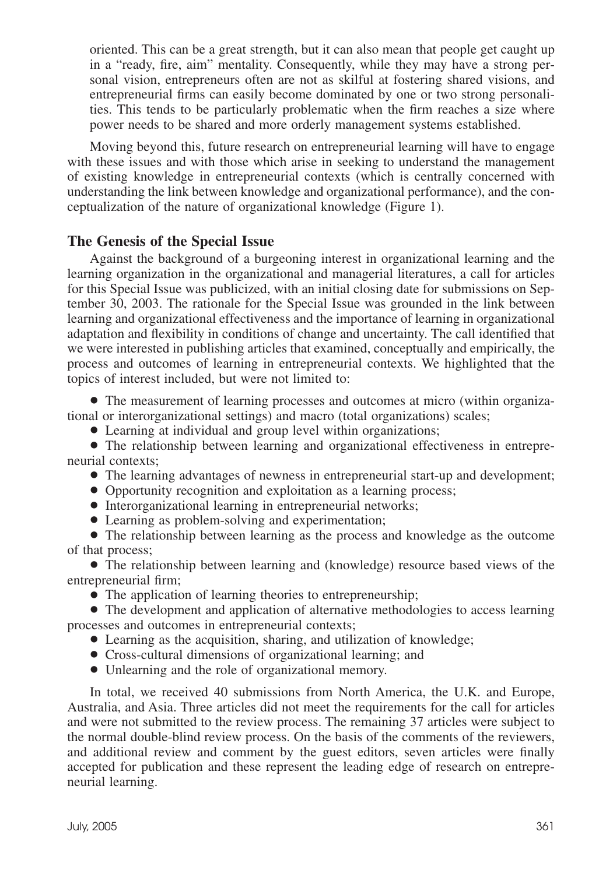oriented. This can be a great strength, but it can also mean that people get caught up in a "ready, fire, aim" mentality. Consequently, while they may have a strong personal vision, entrepreneurs often are not as skilful at fostering shared visions, and entrepreneurial firms can easily become dominated by one or two strong personalities. This tends to be particularly problematic when the firm reaches a size where power needs to be shared and more orderly management systems established.

Moving beyond this, future research on entrepreneurial learning will have to engage with these issues and with those which arise in seeking to understand the management of existing knowledge in entrepreneurial contexts (which is centrally concerned with understanding the link between knowledge and organizational performance), and the conceptualization of the nature of organizational knowledge (Figure 1).

## **The Genesis of the Special Issue**

Against the background of a burgeoning interest in organizational learning and the learning organization in the organizational and managerial literatures, a call for articles for this Special Issue was publicized, with an initial closing date for submissions on September 30, 2003. The rationale for the Special Issue was grounded in the link between learning and organizational effectiveness and the importance of learning in organizational adaptation and flexibility in conditions of change and uncertainty. The call identified that we were interested in publishing articles that examined, conceptually and empirically, the process and outcomes of learning in entrepreneurial contexts. We highlighted that the topics of interest included, but were not limited to:

• The measurement of learning processes and outcomes at micro (within organizational or interorganizational settings) and macro (total organizations) scales;

• Learning at individual and group level within organizations;

• The relationship between learning and organizational effectiveness in entrepreneurial contexts;

• The learning advantages of newness in entrepreneurial start-up and development;

• Opportunity recognition and exploitation as a learning process;

• Interorganizational learning in entrepreneurial networks;

• Learning as problem-solving and experimentation;

• The relationship between learning as the process and knowledge as the outcome of that process;

• The relationship between learning and (knowledge) resource based views of the entrepreneurial firm;

• The application of learning theories to entrepreneurship;

• The development and application of alternative methodologies to access learning processes and outcomes in entrepreneurial contexts;

• Learning as the acquisition, sharing, and utilization of knowledge;

• Cross-cultural dimensions of organizational learning; and

• Unlearning and the role of organizational memory.

In total, we received 40 submissions from North America, the U.K. and Europe, Australia, and Asia. Three articles did not meet the requirements for the call for articles and were not submitted to the review process. The remaining 37 articles were subject to the normal double-blind review process. On the basis of the comments of the reviewers, and additional review and comment by the guest editors, seven articles were finally accepted for publication and these represent the leading edge of research on entrepreneurial learning.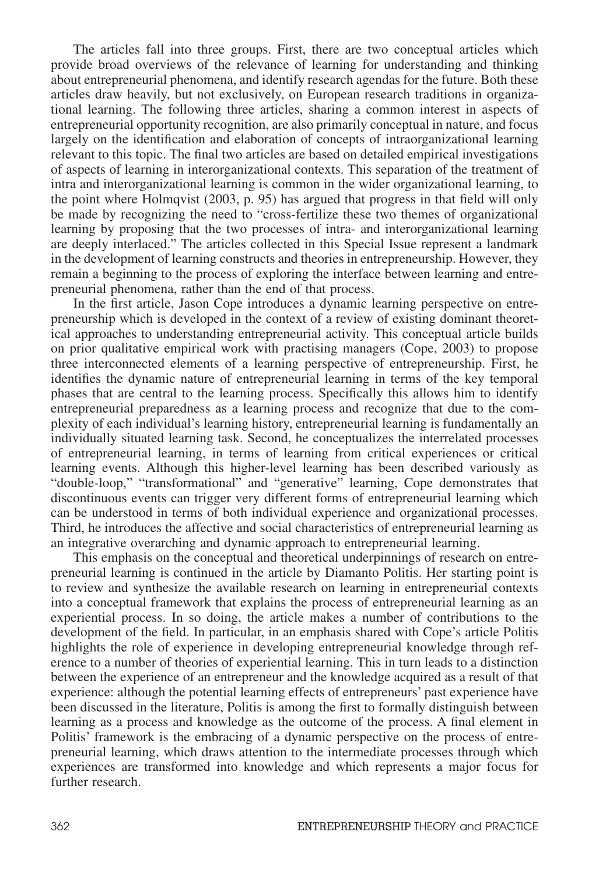The articles fall into three groups. First, there are two conceptual articles which provide broad overviews of the relevance of learning for understanding and thinking about entrepreneurial phenomena, and identify research agendas for the future. Both these articles draw heavily, but not exclusively, on European research traditions in organizational learning. The following three articles, sharing a common interest in aspects of entrepreneurial opportunity recognition, are also primarily conceptual in nature, and focus largely on the identification and elaboration of concepts of intraorganizational learning relevant to this topic. The final two articles are based on detailed empirical investigations of aspects of learning in interorganizational contexts. This separation of the treatment of intra and interorganizational learning is common in the wider organizational learning, to the point where Holmqvist (2003, p. 95) has argued that progress in that field will only be made by recognizing the need to "cross-fertilize these two themes of organizational learning by proposing that the two processes of intra- and interorganizational learning are deeply interlaced." The articles collected in this Special Issue represent a landmark in the development of learning constructs and theories in entrepreneurship. However, they remain a beginning to the process of exploring the interface between learning and entrepreneurial phenomena, rather than the end of that process.

In the first article, Jason Cope introduces a dynamic learning perspective on entrepreneurship which is developed in the context of a review of existing dominant theoretical approaches to understanding entrepreneurial activity. This conceptual article builds on prior qualitative empirical work with practising managers (Cope, 2003) to propose three interconnected elements of a learning perspective of entrepreneurship. First, he identifies the dynamic nature of entrepreneurial learning in terms of the key temporal phases that are central to the learning process. Specifically this allows him to identify entrepreneurial preparedness as a learning process and recognize that due to the complexity of each individual's learning history, entrepreneurial learning is fundamentally an individually situated learning task. Second, he conceptualizes the interrelated processes of entrepreneurial learning, in terms of learning from critical experiences or critical learning events. Although this higher-level learning has been described variously as "double-loop," "transformational" and "generative" learning, Cope demonstrates that discontinuous events can trigger very different forms of entrepreneurial learning which can be understood in terms of both individual experience and organizational processes. Third, he introduces the affective and social characteristics of entrepreneurial learning as an integrative overarching and dynamic approach to entrepreneurial learning.

This emphasis on the conceptual and theoretical underpinnings of research on entrepreneurial learning is continued in the article by Diamanto Politis. Her starting point is to review and synthesize the available research on learning in entrepreneurial contexts into a conceptual framework that explains the process of entrepreneurial learning as an experiential process. In so doing, the article makes a number of contributions to the development of the field. In particular, in an emphasis shared with Cope's article Politis highlights the role of experience in developing entrepreneurial knowledge through reference to a number of theories of experiential learning. This in turn leads to a distinction between the experience of an entrepreneur and the knowledge acquired as a result of that experience: although the potential learning effects of entrepreneurs' past experience have been discussed in the literature, Politis is among the first to formally distinguish between learning as a process and knowledge as the outcome of the process. A final element in Politis' framework is the embracing of a dynamic perspective on the process of entrepreneurial learning, which draws attention to the intermediate processes through which experiences are transformed into knowledge and which represents a major focus for further research.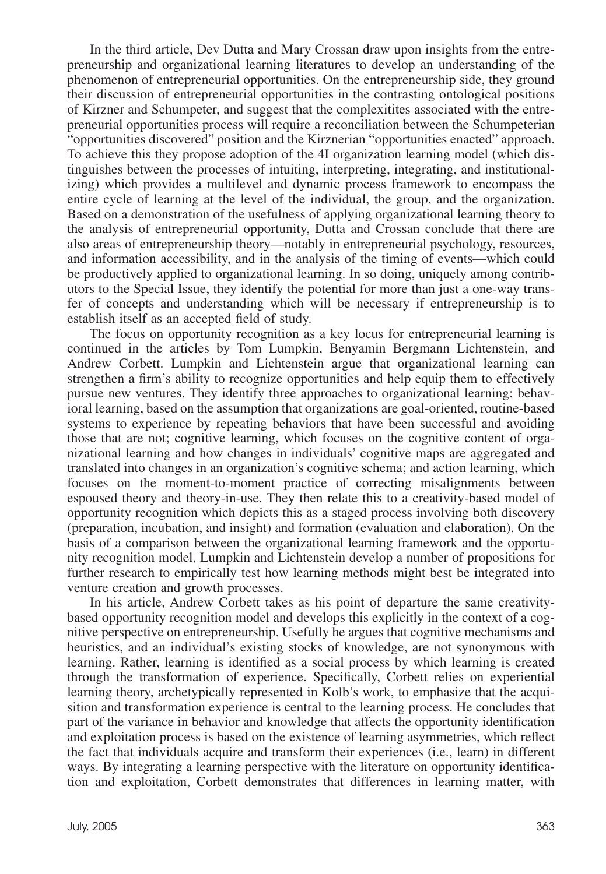In the third article, Dev Dutta and Mary Crossan draw upon insights from the entrepreneurship and organizational learning literatures to develop an understanding of the phenomenon of entrepreneurial opportunities. On the entrepreneurship side, they ground their discussion of entrepreneurial opportunities in the contrasting ontological positions of Kirzner and Schumpeter, and suggest that the complexitites associated with the entrepreneurial opportunities process will require a reconciliation between the Schumpeterian "opportunities discovered" position and the Kirznerian "opportunities enacted" approach. To achieve this they propose adoption of the 4I organization learning model (which distinguishes between the processes of intuiting, interpreting, integrating, and institutionalizing) which provides a multilevel and dynamic process framework to encompass the entire cycle of learning at the level of the individual, the group, and the organization. Based on a demonstration of the usefulness of applying organizational learning theory to the analysis of entrepreneurial opportunity, Dutta and Crossan conclude that there are also areas of entrepreneurship theory—notably in entrepreneurial psychology, resources, and information accessibility, and in the analysis of the timing of events—which could be productively applied to organizational learning. In so doing, uniquely among contributors to the Special Issue, they identify the potential for more than just a one-way transfer of concepts and understanding which will be necessary if entrepreneurship is to establish itself as an accepted field of study.

The focus on opportunity recognition as a key locus for entrepreneurial learning is continued in the articles by Tom Lumpkin, Benyamin Bergmann Lichtenstein, and Andrew Corbett. Lumpkin and Lichtenstein argue that organizational learning can strengthen a firm's ability to recognize opportunities and help equip them to effectively pursue new ventures. They identify three approaches to organizational learning: behavioral learning, based on the assumption that organizations are goal-oriented, routine-based systems to experience by repeating behaviors that have been successful and avoiding those that are not; cognitive learning, which focuses on the cognitive content of organizational learning and how changes in individuals' cognitive maps are aggregated and translated into changes in an organization's cognitive schema; and action learning, which focuses on the moment-to-moment practice of correcting misalignments between espoused theory and theory-in-use. They then relate this to a creativity-based model of opportunity recognition which depicts this as a staged process involving both discovery (preparation, incubation, and insight) and formation (evaluation and elaboration). On the basis of a comparison between the organizational learning framework and the opportunity recognition model, Lumpkin and Lichtenstein develop a number of propositions for further research to empirically test how learning methods might best be integrated into venture creation and growth processes.

In his article, Andrew Corbett takes as his point of departure the same creativitybased opportunity recognition model and develops this explicitly in the context of a cognitive perspective on entrepreneurship. Usefully he argues that cognitive mechanisms and heuristics, and an individual's existing stocks of knowledge, are not synonymous with learning. Rather, learning is identified as a social process by which learning is created through the transformation of experience. Specifically, Corbett relies on experiential learning theory, archetypically represented in Kolb's work, to emphasize that the acquisition and transformation experience is central to the learning process. He concludes that part of the variance in behavior and knowledge that affects the opportunity identification and exploitation process is based on the existence of learning asymmetries, which reflect the fact that individuals acquire and transform their experiences (i.e., learn) in different ways. By integrating a learning perspective with the literature on opportunity identification and exploitation, Corbett demonstrates that differences in learning matter, with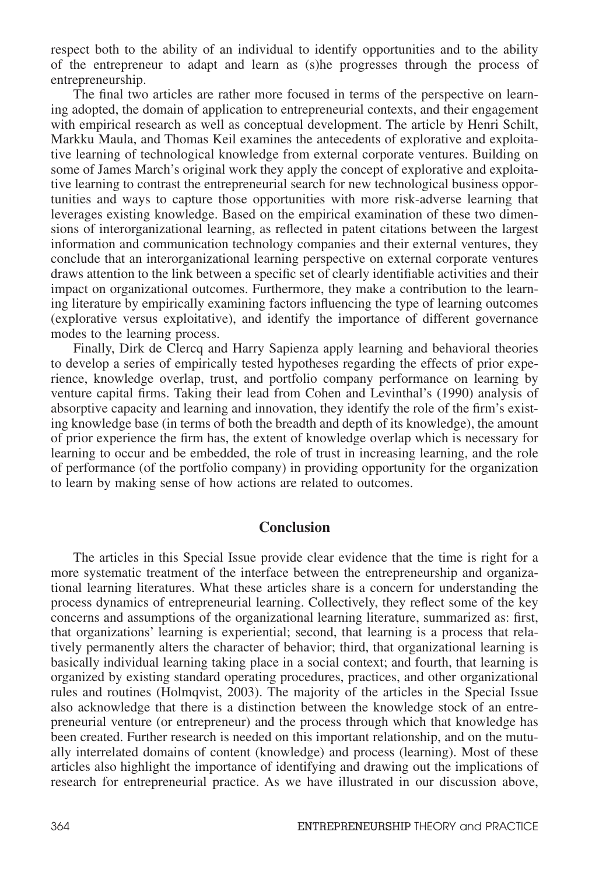respect both to the ability of an individual to identify opportunities and to the ability of the entrepreneur to adapt and learn as (s)he progresses through the process of entrepreneurship.

The final two articles are rather more focused in terms of the perspective on learning adopted, the domain of application to entrepreneurial contexts, and their engagement with empirical research as well as conceptual development. The article by Henri Schilt, Markku Maula, and Thomas Keil examines the antecedents of explorative and exploitative learning of technological knowledge from external corporate ventures. Building on some of James March's original work they apply the concept of explorative and exploitative learning to contrast the entrepreneurial search for new technological business opportunities and ways to capture those opportunities with more risk-adverse learning that leverages existing knowledge. Based on the empirical examination of these two dimensions of interorganizational learning, as reflected in patent citations between the largest information and communication technology companies and their external ventures, they conclude that an interorganizational learning perspective on external corporate ventures draws attention to the link between a specific set of clearly identifiable activities and their impact on organizational outcomes. Furthermore, they make a contribution to the learning literature by empirically examining factors influencing the type of learning outcomes (explorative versus exploitative), and identify the importance of different governance modes to the learning process.

Finally, Dirk de Clercq and Harry Sapienza apply learning and behavioral theories to develop a series of empirically tested hypotheses regarding the effects of prior experience, knowledge overlap, trust, and portfolio company performance on learning by venture capital firms. Taking their lead from Cohen and Levinthal's (1990) analysis of absorptive capacity and learning and innovation, they identify the role of the firm's existing knowledge base (in terms of both the breadth and depth of its knowledge), the amount of prior experience the firm has, the extent of knowledge overlap which is necessary for learning to occur and be embedded, the role of trust in increasing learning, and the role of performance (of the portfolio company) in providing opportunity for the organization to learn by making sense of how actions are related to outcomes.

### **Conclusion**

The articles in this Special Issue provide clear evidence that the time is right for a more systematic treatment of the interface between the entrepreneurship and organizational learning literatures. What these articles share is a concern for understanding the process dynamics of entrepreneurial learning. Collectively, they reflect some of the key concerns and assumptions of the organizational learning literature, summarized as: first, that organizations' learning is experiential; second, that learning is a process that relatively permanently alters the character of behavior; third, that organizational learning is basically individual learning taking place in a social context; and fourth, that learning is organized by existing standard operating procedures, practices, and other organizational rules and routines (Holmqvist, 2003). The majority of the articles in the Special Issue also acknowledge that there is a distinction between the knowledge stock of an entrepreneurial venture (or entrepreneur) and the process through which that knowledge has been created. Further research is needed on this important relationship, and on the mutually interrelated domains of content (knowledge) and process (learning). Most of these articles also highlight the importance of identifying and drawing out the implications of research for entrepreneurial practice. As we have illustrated in our discussion above,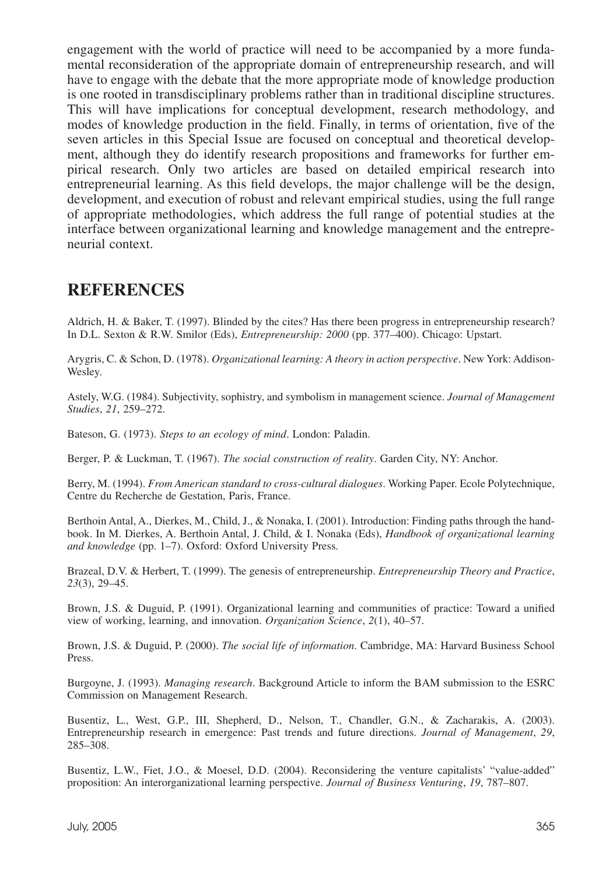engagement with the world of practice will need to be accompanied by a more fundamental reconsideration of the appropriate domain of entrepreneurship research, and will have to engage with the debate that the more appropriate mode of knowledge production is one rooted in transdisciplinary problems rather than in traditional discipline structures. This will have implications for conceptual development, research methodology, and modes of knowledge production in the field. Finally, in terms of orientation, five of the seven articles in this Special Issue are focused on conceptual and theoretical development, although they do identify research propositions and frameworks for further empirical research. Only two articles are based on detailed empirical research into entrepreneurial learning. As this field develops, the major challenge will be the design, development, and execution of robust and relevant empirical studies, using the full range of appropriate methodologies, which address the full range of potential studies at the interface between organizational learning and knowledge management and the entrepreneurial context.

# **REFERENCES**

Aldrich, H. & Baker, T. (1997). Blinded by the cites? Has there been progress in entrepreneurship research? In D.L. Sexton & R.W. Smilor (Eds), *Entrepreneurship: 2000* (pp. 377–400). Chicago: Upstart.

Arygris, C. & Schon, D. (1978). *Organizational learning: A theory in action perspective*. New York: Addison-Wesley.

Astely, W.G. (1984). Subjectivity, sophistry, and symbolism in management science. *Journal of Management Studies*, *21*, 259–272.

Bateson, G. (1973). *Steps to an ecology of mind*. London: Paladin.

Berger, P. & Luckman, T. (1967). *The social construction of reality*. Garden City, NY: Anchor.

Berry, M. (1994). *From American standard to cross-cultural dialogues*. Working Paper. Ecole Polytechnique, Centre du Recherche de Gestation, Paris, France.

Berthoin Antal, A., Dierkes, M., Child, J., & Nonaka, I. (2001). Introduction: Finding paths through the handbook. In M. Dierkes, A. Berthoin Antal, J. Child, & I. Nonaka (Eds), *Handbook of organizational learning and knowledge* (pp. 1–7). Oxford: Oxford University Press.

Brazeal, D.V. & Herbert, T. (1999). The genesis of entrepreneurship. *Entrepreneurship Theory and Practice*, *23*(3), 29–45.

Brown, J.S. & Duguid, P. (1991). Organizational learning and communities of practice: Toward a unified view of working, learning, and innovation. *Organization Science*, *2*(1), 40–57.

Brown, J.S. & Duguid, P. (2000). *The social life of information*. Cambridge, MA: Harvard Business School Press.

Burgoyne, J. (1993). *Managing research*. Background Article to inform the BAM submission to the ESRC Commission on Management Research.

Busentiz, L., West, G.P., III, Shepherd, D., Nelson, T., Chandler, G.N., & Zacharakis, A. (2003). Entrepreneurship research in emergence: Past trends and future directions. *Journal of Management*, *29*, 285–308.

Busentiz, L.W., Fiet, J.O., & Moesel, D.D. (2004). Reconsidering the venture capitalists' "value-added" proposition: An interorganizational learning perspective. *Journal of Business Venturing*, *19*, 787–807.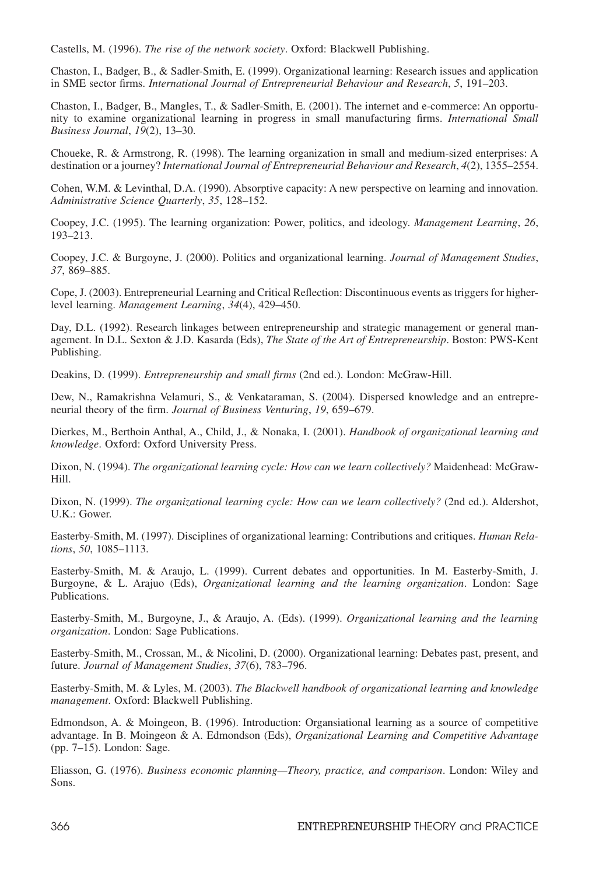Castells, M. (1996). *The rise of the network society*. Oxford: Blackwell Publishing.

Chaston, I., Badger, B., & Sadler-Smith, E. (1999). Organizational learning: Research issues and application in SME sector firms. *International Journal of Entrepreneurial Behaviour and Research*, *5*, 191–203.

Chaston, I., Badger, B., Mangles, T., & Sadler-Smith, E. (2001). The internet and e-commerce: An opportunity to examine organizational learning in progress in small manufacturing firms. *International Small Business Journal*, *19*(2), 13–30.

Choueke, R. & Armstrong, R. (1998). The learning organization in small and medium-sized enterprises: A destination or a journey? *International Journal of Entrepreneurial Behaviour and Research*, *4*(2), 1355–2554.

Cohen, W.M. & Levinthal, D.A. (1990). Absorptive capacity: A new perspective on learning and innovation. *Administrative Science Quarterly*, *35*, 128–152.

Coopey, J.C. (1995). The learning organization: Power, politics, and ideology. *Management Learning*, *26*, 193–213.

Coopey, J.C. & Burgoyne, J. (2000). Politics and organizational learning. *Journal of Management Studies*, *37*, 869–885.

Cope, J. (2003). Entrepreneurial Learning and Critical Reflection: Discontinuous events as triggers for higherlevel learning. *Management Learning*, *34*(4), 429–450.

Day, D.L. (1992). Research linkages between entrepreneurship and strategic management or general management. In D.L. Sexton & J.D. Kasarda (Eds), *The State of the Art of Entrepreneurship*. Boston: PWS-Kent Publishing.

Deakins, D. (1999). *Entrepreneurship and small firms* (2nd ed.). London: McGraw-Hill.

Dew, N., Ramakrishna Velamuri, S., & Venkataraman, S. (2004). Dispersed knowledge and an entrepreneurial theory of the firm. *Journal of Business Venturing*, *19*, 659–679.

Dierkes, M., Berthoin Anthal, A., Child, J., & Nonaka, I. (2001). *Handbook of organizational learning and knowledge*. Oxford: Oxford University Press.

Dixon, N. (1994). *The organizational learning cycle: How can we learn collectively?* Maidenhead: McGraw-Hill.

Dixon, N. (1999). *The organizational learning cycle: How can we learn collectively?* (2nd ed.). Aldershot, U.K.: Gower.

Easterby-Smith, M. (1997). Disciplines of organizational learning: Contributions and critiques. *Human Relations*, *50*, 1085–1113.

Easterby-Smith, M. & Araujo, L. (1999). Current debates and opportunities. In M. Easterby-Smith, J. Burgoyne, & L. Arajuo (Eds), *Organizational learning and the learning organization*. London: Sage Publications.

Easterby-Smith, M., Burgoyne, J., & Araujo, A. (Eds). (1999). *Organizational learning and the learning organization*. London: Sage Publications.

Easterby-Smith, M., Crossan, M., & Nicolini, D. (2000). Organizational learning: Debates past, present, and future. *Journal of Management Studies*, *37*(6), 783–796.

Easterby-Smith, M. & Lyles, M. (2003). *The Blackwell handbook of organizational learning and knowledge management*. Oxford: Blackwell Publishing.

Edmondson, A. & Moingeon, B. (1996). Introduction: Organsiational learning as a source of competitive advantage. In B. Moingeon & A. Edmondson (Eds), *Organizational Learning and Competitive Advantage* (pp. 7–15). London: Sage.

Eliasson, G. (1976). *Business economic planning—Theory, practice, and comparison*. London: Wiley and Sons.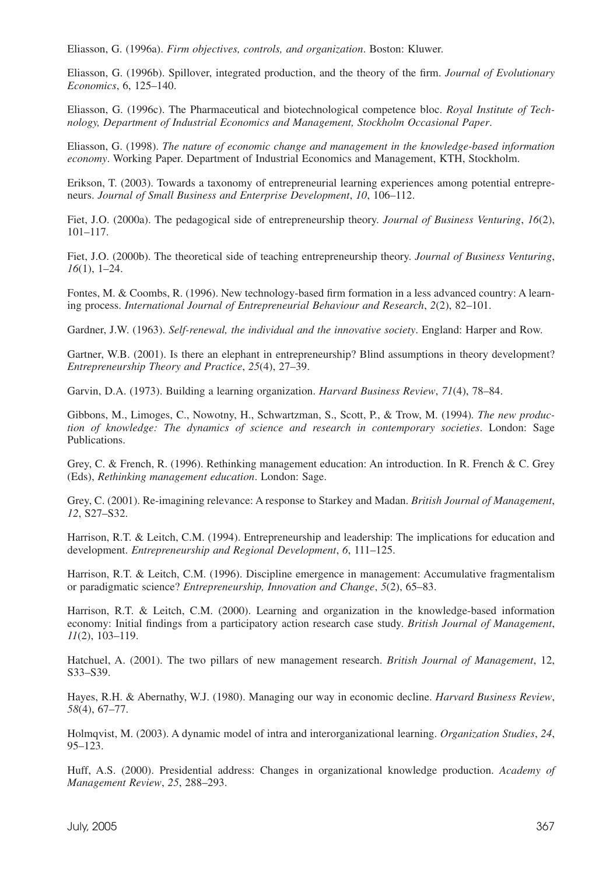Eliasson, G. (1996a). *Firm objectives, controls, and organization*. Boston: Kluwer.

Eliasson, G. (1996b). Spillover, integrated production, and the theory of the firm. *Journal of Evolutionary Economics*, 6, 125–140.

Eliasson, G. (1996c). The Pharmaceutical and biotechnological competence bloc. *Royal Institute of Technology, Department of Industrial Economics and Management, Stockholm Occasional Paper*.

Eliasson, G. (1998). *The nature of economic change and management in the knowledge-based information economy*. Working Paper. Department of Industrial Economics and Management, KTH, Stockholm.

Erikson, T. (2003). Towards a taxonomy of entrepreneurial learning experiences among potential entrepreneurs. *Journal of Small Business and Enterprise Development*, *10*, 106–112.

Fiet, J.O. (2000a). The pedagogical side of entrepreneurship theory. *Journal of Business Venturing*, *16*(2), 101–117.

Fiet, J.O. (2000b). The theoretical side of teaching entrepreneurship theory. *Journal of Business Venturing*, *16*(1), 1–24.

Fontes, M. & Coombs, R. (1996). New technology-based firm formation in a less advanced country: A learning process. *International Journal of Entrepreneurial Behaviour and Research*, *2*(2), 82–101.

Gardner, J.W. (1963). *Self-renewal, the individual and the innovative society*. England: Harper and Row.

Gartner, W.B. (2001). Is there an elephant in entrepreneurship? Blind assumptions in theory development? *Entrepreneurship Theory and Practice*, *25*(4), 27–39.

Garvin, D.A. (1973). Building a learning organization. *Harvard Business Review*, *71*(4), 78–84.

Gibbons, M., Limoges, C., Nowotny, H., Schwartzman, S., Scott, P., & Trow, M. (1994)*. The new production of knowledge: The dynamics of science and research in contemporary societies*. London: Sage Publications.

Grey, C. & French, R. (1996). Rethinking management education: An introduction. In R. French & C. Grey (Eds), *Rethinking management education*. London: Sage.

Grey, C. (2001). Re-imagining relevance: A response to Starkey and Madan. *British Journal of Management*, *12*, S27–S32.

Harrison, R.T. & Leitch, C.M. (1994). Entrepreneurship and leadership: The implications for education and development. *Entrepreneurship and Regional Development*, *6*, 111–125.

Harrison, R.T. & Leitch, C.M. (1996). Discipline emergence in management: Accumulative fragmentalism or paradigmatic science? *Entrepreneurship, Innovation and Change*, *5*(2), 65–83.

Harrison, R.T. & Leitch, C.M. (2000). Learning and organization in the knowledge-based information economy: Initial findings from a participatory action research case study. *British Journal of Management*, *11*(2), 103–119.

Hatchuel, A. (2001). The two pillars of new management research. *British Journal of Management*, 12, S33–S39.

Hayes, R.H. & Abernathy, W.J. (1980). Managing our way in economic decline. *Harvard Business Review*, *58*(4), 67–77.

Holmqvist, M. (2003). A dynamic model of intra and interorganizational learning. *Organization Studies*, *24*, 95–123.

Huff, A.S. (2000). Presidential address: Changes in organizational knowledge production. *Academy of Management Review*, *25*, 288–293.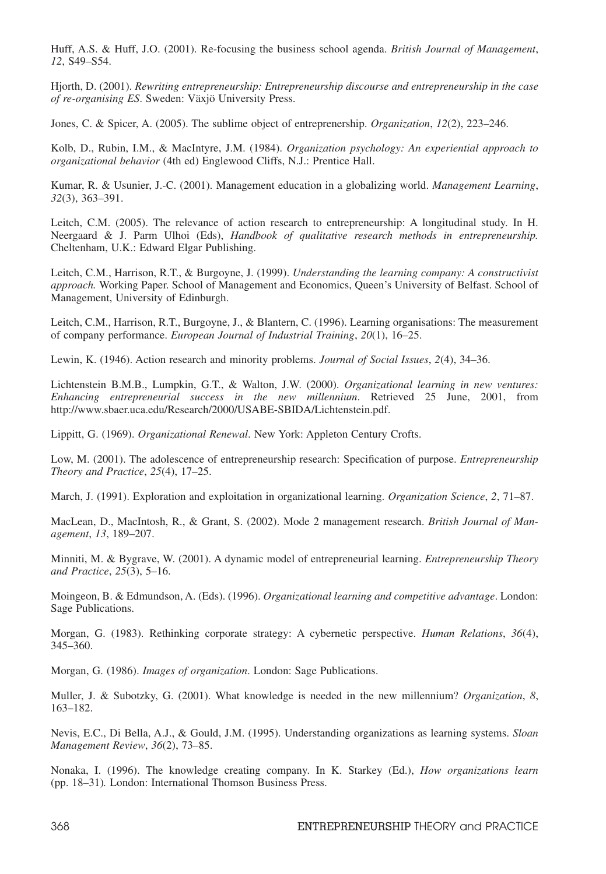Huff, A.S. & Huff, J.O. (2001). Re-focusing the business school agenda. *British Journal of Management*, *12*, S49–S54.

Hjorth, D. (2001). *Rewriting entrepreneurship: Entrepreneurship discourse and entrepreneurship in the case of re-organising ES*. Sweden: Växjö University Press.

Jones, C. & Spicer, A. (2005). The sublime object of entreprenership. *Organization*, *12*(2), 223–246.

Kolb, D., Rubin, I.M., & MacIntyre, J.M. (1984). *Organization psychology: An experiential approach to organizational behavior* (4th ed) Englewood Cliffs, N.J.: Prentice Hall.

Kumar, R. & Usunier, J.-C. (2001). Management education in a globalizing world. *Management Learning*, *32*(3), 363–391.

Leitch, C.M. (2005). The relevance of action research to entrepreneurship: A longitudinal study. In H. Neergaard & J. Parm Ulhoi (Eds), *Handbook of qualitative research methods in entrepreneurship.* Cheltenham, U.K.: Edward Elgar Publishing.

Leitch, C.M., Harrison, R.T., & Burgoyne, J. (1999). *Understanding the learning company: A constructivist approach.* Working Paper. School of Management and Economics, Queen's University of Belfast. School of Management, University of Edinburgh.

Leitch, C.M., Harrison, R.T., Burgoyne, J., & Blantern, C. (1996). Learning organisations: The measurement of company performance. *European Journal of Industrial Training*, *20*(1), 16–25.

Lewin, K. (1946). Action research and minority problems. *Journal of Social Issues*, *2*(4), 34–36.

Lichtenstein B.M.B., Lumpkin, G.T., & Walton, J.W. (2000). *Organizational learning in new ventures: Enhancing entrepreneurial success in the new millennium*. Retrieved 25 June, 2001, from [http://www.sbaer.uca.edu/Research/2000/USABE-SBIDA/Lichtenstein.pdf.](http://www.sbaer.uca.edu/Research/2000/USABE-SBIDA/Lichtenstein.pdf)

Lippitt, G. (1969). *Organizational Renewal*. New York: Appleton Century Crofts.

Low, M. (2001). The adolescence of entrepreneurship research: Specification of purpose. *Entrepreneurship Theory and Practice*, *25*(4), 17–25.

March, J. (1991). Exploration and exploitation in organizational learning. *Organization Science*, *2*, 71–87.

MacLean, D., MacIntosh, R., & Grant, S. (2002). Mode 2 management research. *British Journal of Management*, *13*, 189–207.

Minniti, M. & Bygrave, W. (2001). A dynamic model of entrepreneurial learning. *Entrepreneurship Theory and Practice*, *25*(3), 5–16.

Moingeon, B. & Edmundson, A. (Eds). (1996). *Organizational learning and competitive advantage*. London: Sage Publications.

Morgan, G. (1983). Rethinking corporate strategy: A cybernetic perspective. *Human Relations*, *36*(4), 345–360.

Morgan, G. (1986). *Images of organization*. London: Sage Publications.

Muller, J. & Subotzky, G. (2001). What knowledge is needed in the new millennium? *Organization*, *8*, 163–182.

Nevis, E.C., Di Bella, A.J., & Gould, J.M. (1995). Understanding organizations as learning systems. *Sloan Management Review*, *36*(2), 73–85.

Nonaka, I. (1996). The knowledge creating company. In K. Starkey (Ed.), *How organizations learn*  (pp. 18–31)*.* London: International Thomson Business Press.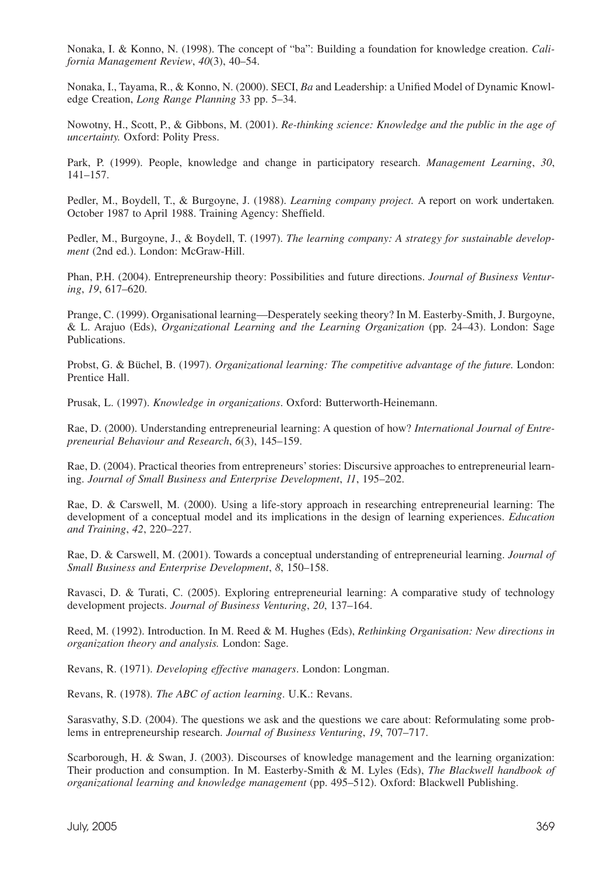Nonaka, I. & Konno, N. (1998). The concept of "ba": Building a foundation for knowledge creation. *California Management Review*, *40*(3), 40–54.

Nonaka, I., Tayama, R., & Konno, N. (2000). SECI, *Ba* and Leadership: a Unified Model of Dynamic Knowledge Creation, *Long Range Planning* 33 pp. 5–34.

Nowotny, H., Scott, P., & Gibbons, M. (2001). *Re-thinking science: Knowledge and the public in the age of uncertainty.* Oxford: Polity Press.

Park, P. (1999). People, knowledge and change in participatory research. *Management Learning*, *30*, 141–157.

Pedler, M., Boydell, T., & Burgoyne, J. (1988). *Learning company project.* A report on work undertaken*.* October 1987 to April 1988. Training Agency: Sheffield.

Pedler, M., Burgoyne, J., & Boydell, T. (1997). *The learning company: A strategy for sustainable development* (2nd ed.). London: McGraw-Hill.

Phan, P.H. (2004). Entrepreneurship theory: Possibilities and future directions. *Journal of Business Venturing*, *19*, 617–620.

Prange, C. (1999). Organisational learning—Desperately seeking theory? In M. Easterby-Smith, J. Burgoyne, & L. Arajuo (Eds), *Organizational Learning and the Learning Organization* (pp. 24–43). London: Sage Publications.

Probst, G. & Büchel, B. (1997). *Organizational learning: The competitive advantage of the future.* London: Prentice Hall.

Prusak, L. (1997). *Knowledge in organizations*. Oxford: Butterworth-Heinemann.

Rae, D. (2000). Understanding entrepreneurial learning: A question of how? *International Journal of Entrepreneurial Behaviour and Research*, *6*(3), 145–159.

Rae, D. (2004). Practical theories from entrepreneurs' stories: Discursive approaches to entrepreneurial learning. *Journal of Small Business and Enterprise Development*, *11*, 195–202.

Rae, D. & Carswell, M. (2000). Using a life-story approach in researching entrepreneurial learning: The development of a conceptual model and its implications in the design of learning experiences. *Education and Training*, *42*, 220–227.

Rae, D. & Carswell, M. (2001). Towards a conceptual understanding of entrepreneurial learning. *Journal of Small Business and Enterprise Development*, *8*, 150–158.

Ravasci, D. & Turati, C. (2005). Exploring entrepreneurial learning: A comparative study of technology development projects. *Journal of Business Venturing*, *20*, 137–164.

Reed, M. (1992). Introduction. In M. Reed & M. Hughes (Eds), *Rethinking Organisation: New directions in organization theory and analysis.* London: Sage.

Revans, R. (1971). *Developing effective managers*. London: Longman.

Revans, R. (1978). *The ABC of action learning*. U.K.: Revans.

Sarasvathy, S.D. (2004). The questions we ask and the questions we care about: Reformulating some problems in entrepreneurship research. *Journal of Business Venturing*, *19*, 707–717.

Scarborough, H. & Swan, J. (2003). Discourses of knowledge management and the learning organization: Their production and consumption. In M. Easterby-Smith & M. Lyles (Eds), *The Blackwell handbook of organizational learning and knowledge management* (pp. 495–512). Oxford: Blackwell Publishing.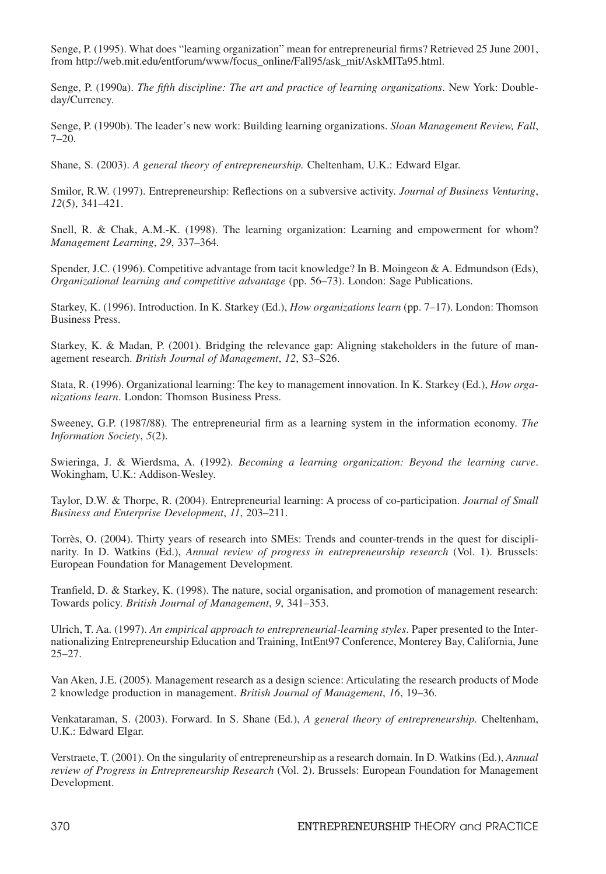Senge, P. (1995). What does "learning organization" mean for entrepreneurial firms? Retrieved 25 June 2001, from [http://web.mit.edu/entforum/www/focus\\_online/Fall95/ask\\_mit/AskMITa95.html.](http://web.mit.edu/entforum/www/focus_online/Fall95/ask_mit/AskMITa95.html)

Senge, P. (1990a). *The fifth discipline: The art and practice of learning organizations*. New York: Doubleday/Currency.

Senge, P. (1990b). The leader's new work: Building learning organizations. *Sloan Management Review, Fall*,  $7 - 20.$ 

Shane, S. (2003). *A general theory of entrepreneurship.* Cheltenham, U.K.: Edward Elgar.

Smilor, R.W. (1997). Entrepreneurship: Reflections on a subversive activity. *Journal of Business Venturing*, *12*(5), 341–421.

Snell, R. & Chak, A.M.-K. (1998). The learning organization: Learning and empowerment for whom? *Management Learning*, *29*, 337–364*.*

Spender, J.C. (1996). Competitive advantage from tacit knowledge? In B. Moingeon & A. Edmundson (Eds), *Organizational learning and competitive advantage* (pp. 56–73). London: Sage Publications.

Starkey, K. (1996). Introduction. In K. Starkey (Ed.), *How organizations learn* (pp. 7–17). London: Thomson Business Press.

Starkey, K. & Madan, P. (2001). Bridging the relevance gap: Aligning stakeholders in the future of management research. *British Journal of Management*, *12*, S3–S26.

Stata, R. (1996). Organizational learning: The key to management innovation. In K. Starkey (Ed.), *How organizations learn*. London: Thomson Business Press.

Sweeney, G.P. (1987/88). The entrepreneurial firm as a learning system in the information economy. *The Information Society*, *5*(2).

Swieringa, J. & Wierdsma, A. (1992). *Becoming a learning organization: Beyond the learning curve*. Wokingham, U.K.: Addison-Wesley.

Taylor, D.W. & Thorpe, R. (2004). Entrepreneurial learning: A process of co-participation. *Journal of Small Business and Enterprise Development*, *11*, 203–211.

Torrès, O. (2004). Thirty years of research into SMEs: Trends and counter-trends in the quest for disciplinarity. In D. Watkins (Ed.), *Annual review of progress in entrepreneurship research* (Vol. 1). Brussels: European Foundation for Management Development.

Tranfield, D. & Starkey, K. (1998). The nature, social organisation, and promotion of management research: Towards policy. *British Journal of Management*, *9*, 341–353.

Ulrich, T. Aa. (1997). *An empirical approach to entrepreneurial-learning styles*. Paper presented to the Internationalizing Entrepreneurship Education and Training, IntEnt97 Conference, Monterey Bay, California, June 25–27.

Van Aken, J.E. (2005). Management research as a design science: Articulating the research products of Mode 2 knowledge production in management. *British Journal of Management*, *16*, 19–36.

Venkataraman, S. (2003). Forward. In S. Shane (Ed.), *A general theory of entrepreneurship.* Cheltenham, U.K.: Edward Elgar.

Verstraete, T. (2001). On the singularity of entrepreneurship as a research domain. In D. Watkins (Ed.), *Annual review of Progress in Entrepreneurship Research* (Vol. 2). Brussels: European Foundation for Management Development.